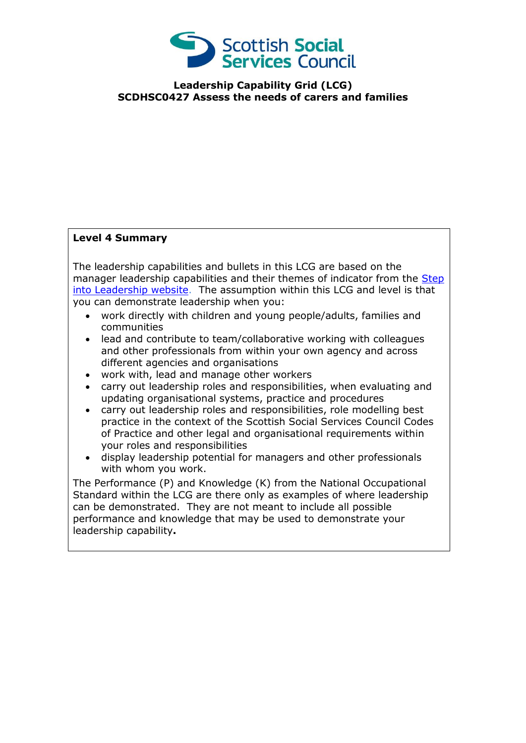

## **Leadership Capability Grid (LCG) SCDHSC0427 Assess the needs of carers and families**

## **Level 4 Summary**

The leadership capabilities and bullets in this LCG are based on the manager leadership capabilities and their themes of indicator from the Step [into Leadership website.](http://www.stepintoleadership.info/) The assumption within this LCG and level is that you can demonstrate leadership when you:

- work directly with children and young people/adults, families and communities
- lead and contribute to team/collaborative working with colleagues and other professionals from within your own agency and across different agencies and organisations
- work with, lead and manage other workers
- carry out leadership roles and responsibilities, when evaluating and updating organisational systems, practice and procedures
- carry out leadership roles and responsibilities, role modelling best practice in the context of the Scottish Social Services Council Codes of Practice and other legal and organisational requirements within your roles and responsibilities
- display leadership potential for managers and other professionals with whom you work.

The Performance (P) and Knowledge (K) from the National Occupational Standard within the LCG are there only as examples of where leadership can be demonstrated. They are not meant to include all possible performance and knowledge that may be used to demonstrate your leadership capability**.**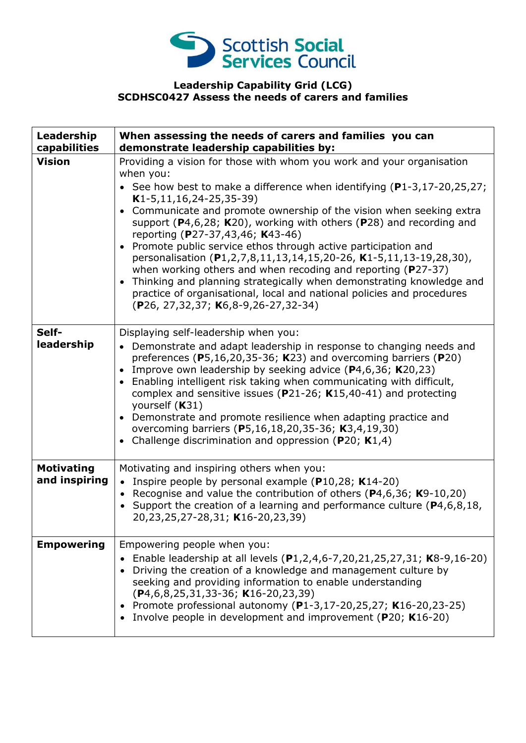

## **Leadership Capability Grid (LCG) SCDHSC0427 Assess the needs of carers and families**

| Leadership<br>capabilities         | When assessing the needs of carers and families you can<br>demonstrate leadership capabilities by:                                                                                                                                                                                                                                                                                                                                                                                                                                                                                                                                                                                                                                                                                                                                             |
|------------------------------------|------------------------------------------------------------------------------------------------------------------------------------------------------------------------------------------------------------------------------------------------------------------------------------------------------------------------------------------------------------------------------------------------------------------------------------------------------------------------------------------------------------------------------------------------------------------------------------------------------------------------------------------------------------------------------------------------------------------------------------------------------------------------------------------------------------------------------------------------|
| <b>Vision</b>                      | Providing a vision for those with whom you work and your organisation<br>when you:<br>• See how best to make a difference when identifying $(P1-3, 17-20, 25, 27)$ ;<br>$K1-5, 11, 16, 24-25, 35-39)$<br>Communicate and promote ownership of the vision when seeking extra<br>$\bullet$<br>support ( $P$ 4,6,28; K20), working with others ( $P$ 28) and recording and<br>reporting (P27-37,43,46; K43-46)<br>Promote public service ethos through active participation and<br>$\bullet$<br>personalisation (P1,2,7,8,11,13,14,15,20-26, K1-5,11,13-19,28,30),<br>when working others and when recoding and reporting ( $P27-37$ )<br>Thinking and planning strategically when demonstrating knowledge and<br>$\bullet$<br>practice of organisational, local and national policies and procedures<br>(P26, 27, 32, 37; K6, 8-9, 26-27, 32-34) |
| Self-<br>leadership                | Displaying self-leadership when you:<br>• Demonstrate and adapt leadership in response to changing needs and<br>preferences ( $P5,16,20,35-36$ ; K23) and overcoming barriers ( $P20$ )<br>Improve own leadership by seeking advice $(P4,6,36; K20,23)$<br>Enabling intelligent risk taking when communicating with difficult,<br>$\bullet$<br>complex and sensitive issues ( $P$ 21-26; K15,40-41) and protecting<br>yourself (K31)<br>Demonstrate and promote resilience when adapting practice and<br>overcoming barriers (P5,16,18,20,35-36; K3,4,19,30)<br>Challenge discrimination and oppression ( $P20$ ; K1,4)<br>$\bullet$                                                                                                                                                                                                           |
| <b>Motivating</b><br>and inspiring | Motivating and inspiring others when you:<br>• Inspire people by personal example ( $P10,28$ ; K14-20)<br>• Recognise and value the contribution of others (P4,6,36; K9-10,20)<br>• Support the creation of a learning and performance culture $(P4, 6, 8, 18, 1)$<br>20,23,25,27-28,31; K16-20,23,39)                                                                                                                                                                                                                                                                                                                                                                                                                                                                                                                                         |
| <b>Empowering</b>                  | Empowering people when you:<br>Enable leadership at all levels (P1,2,4,6-7,20,21,25,27,31; K8-9,16-20)<br>Driving the creation of a knowledge and management culture by<br>seeking and providing information to enable understanding<br>$(P4, 6, 8, 25, 31, 33-36; K16-20, 23, 39)$<br>• Promote professional autonomy (P1-3,17-20,25,27; K16-20,23-25)<br>• Involve people in development and improvement (P20; K16-20)                                                                                                                                                                                                                                                                                                                                                                                                                       |